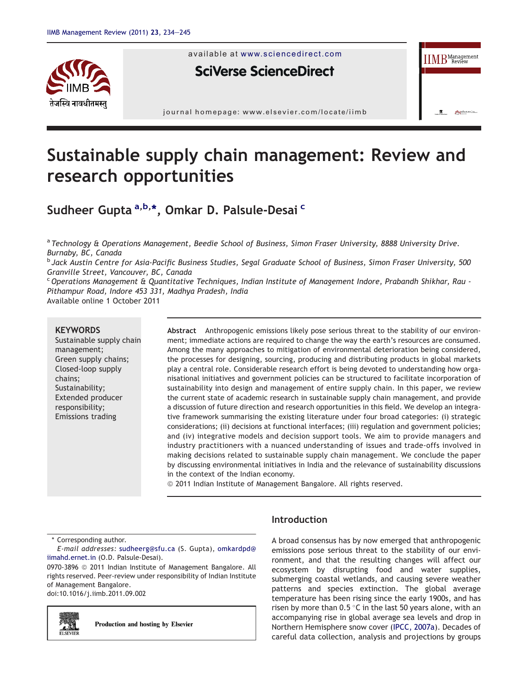

available at www.sciencedirect.com

# **SciVerse ScienceDirect**



# Sustainable supply chain management: Review and research opportunities

# Sudheer Gupta <sup>a,b,</sup>\*, Omkar D. Palsule-Desai <sup>c</sup>

a *Technology & Operations Management, Beedie School of Business, Simon Fraser University, 8888 University Drive. Burnaby, BC, Canada*

b *Jack Austin Centre for Asia-Pacific Business Studies, Segal Graduate School of Business, Simon Fraser University, 500 Granville Street, Vancouver, BC, Canada*

<sup>c</sup>*Operations Management & Quantitative Techniques, Indian Institute of Management Indore, Prabandh Shikhar, Rau - Pithampur Road, Indore 453 331, Madhya Pradesh, India* Available online 1 October 2011

#### **KEYWORDS**

Sustainable supply chain management; Green supply chains; Closed-loop supply chains; Sustainability; Extended producer responsibility; Emissions trading

Abstract Anthropogenic emissions likely pose serious threat to the stability of our environment; immediate actions are required to change the way the earth's resources are consumed. Among the many approaches to mitigation of environmental deterioration being considered, the processes for designing, sourcing, producing and distributing products in global markets play a central role. Considerable research effort is being devoted to understanding how organisational initiatives and government policies can be structured to facilitate incorporation of sustainability into design and management of entire supply chain. In this paper, we review the current state of academic research in sustainable supply chain management, and provide a discussion of future direction and research opportunities in this field. We develop an integrative framework summarising the existing literature under four broad categories: (i) strategic considerations; (ii) decisions at functional interfaces; (iii) regulation and government policies; and (iv) integrative models and decision support tools. We aim to provide managers and industry practitioners with a nuanced understanding of issues and trade-offs involved in making decisions related to sustainable supply chain management. We conclude the paper by discussing environmental initiatives in India and the relevance of sustainability discussions in the context of the Indian economy.

© 2011 Indian Institute of Management Bangalore. All rights reserved.

\* Corresponding author.

*E-mail addresses:* sudheerg@sfu.ca (S. Gupta), omkardpd@ iimahd.ernet.in (O.D. Palsule-Desai).

0970-3896 @ 2011 Indian Institute of Management Bangalore. All rights reserved. Peer-review under responsibility of Indian Institute of Management Bangalore.

doi:10.1016/j.iimb.2011.09.002



Production and hosting by Elsevier

# Introduction

A broad consensus has by now emerged that anthropogenic emissions pose serious threat to the stability of our environment, and that the resulting changes will affect our ecosystem by disrupting food and water supplies, submerging coastal wetlands, and causing severe weather patterns and species extinction. The global average temperature has been rising since the early 1900s, and has risen by more than  $0.5 \degree C$  in the last 50 years alone, with an accompanying rise in global average sea levels and drop in Northern Hemisphere snow cover (IPCC, 2007a). Decades of careful data collection, analysis and projections by groups

Bangalore Pala

**IIMB** Review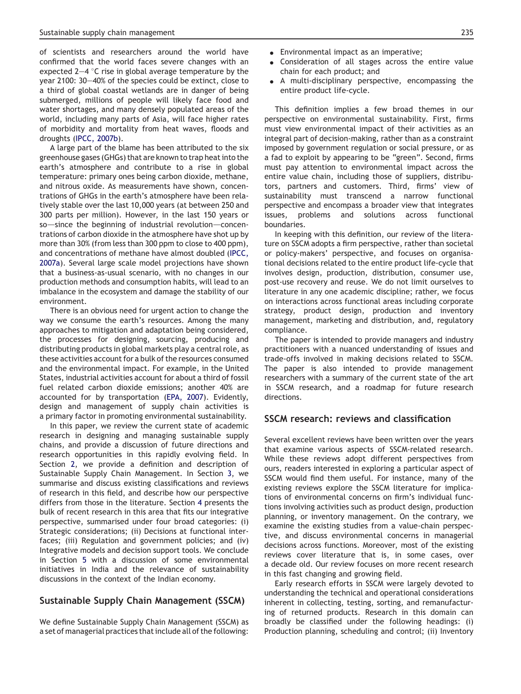of scientists and researchers around the world have confirmed that the world faces severe changes with an expected  $2-4$  °C rise in global average temperature by the year  $2100: 30-40%$  of the species could be extinct, close to a third of global coastal wetlands are in danger of being submerged, millions of people will likely face food and water shortages, and many densely populated areas of the world, including many parts of Asia, will face higher rates of morbidity and mortality from heat waves, floods and droughts (IPCC, 2007b).

A large part of the blame has been attributed to the six greenhouse gases (GHGs) that are known to trap heat into the earth's atmosphere and contribute to a rise in global temperature: primary ones being carbon dioxide, methane, and nitrous oxide. As measurements have shown, concentrations of GHGs in the earth's atmosphere have been relatively stable over the last 10,000 years (at between 250 and 300 parts per million). However, in the last 150 years or so-since the beginning of industrial revolution-concentrations of carbon dioxide in the atmosphere have shot up by more than 30% (from less than 300 ppm to close to 400 ppm), and concentrations of methane have almost doubled (IPCC, 2007a). Several large scale model projections have shown that a business-as-usual scenario, with no changes in our production methods and consumption habits, will lead to an imbalance in the ecosystem and damage the stability of our environment.

There is an obvious need for urgent action to change the way we consume the earth's resources. Among the many approaches to mitigation and adaptation being considered, the processes for designing, sourcing, producing and distributing products in global markets play a central role, as these activities account for a bulk of the resources consumed and the environmental impact. For example, in the United States, industrial activities account for about a third of fossil fuel related carbon dioxide emissions; another 40% are accounted for by transportation (EPA, 2007). Evidently, design and management of supply chain activities is a primary factor in promoting environmental sustainability.

In this paper, we review the current state of academic research in designing and managing sustainable supply chains, and provide a discussion of future directions and research opportunities in this rapidly evolving field. In Section 2, we provide a definition and description of Sustainable Supply Chain Management. In Section 3, we summarise and discuss existing classifications and reviews of research in this field, and describe how our perspective differs from those in the literature. Section 4 presents the bulk of recent research in this area that fits our integrative perspective, summarised under four broad categories: (i) Strategic considerations; (ii) Decisions at functional interfaces; (iii) Regulation and government policies; and (iv) Integrative models and decision support tools. We conclude in Section 5 with a discussion of some environmental initiatives in India and the relevance of sustainability discussions in the context of the Indian economy.

## Sustainable Supply Chain Management (SSCM)

We define Sustainable Supply Chain Management (SSCM) as a set of managerial practices that include all of the following:

- $\bullet$  Environmental impact as an imperative;
- Consideration of all stages across the entire value chain for each product; and
- A multi-disciplinary perspective, encompassing the entire product life-cycle.

This definition implies a few broad themes in our perspective on environmental sustainability. First, firms must view environmental impact of their activities as an integral part of decision-making, rather than as a constraint imposed by government regulation or social pressure, or as a fad to exploit by appearing to be "green". Second, firms must pay attention to environmental impact across the entire value chain, including those of suppliers, distributors, partners and customers. Third, firms' view of sustainability must transcend a narrow functional perspective and encompass a broader view that integrates issues, problems and solutions across functional boundaries.

In keeping with this definition, our review of the literature on SSCM adopts a firm perspective, rather than societal or policy-makers' perspective, and focuses on organisational decisions related to the entire product life-cycle that involves design, production, distribution, consumer use, post-use recovery and reuse. We do not limit ourselves to literature in any one academic discipline; rather, we focus on interactions across functional areas including corporate strategy, product design, production and inventory management, marketing and distribution, and, regulatory compliance.

The paper is intended to provide managers and industry practitioners with a nuanced understanding of issues and trade-offs involved in making decisions related to SSCM. The paper is also intended to provide management researchers with a summary of the current state of the art in SSCM research, and a roadmap for future research directions.

# SSCM research: reviews and classification

Several excellent reviews have been written over the years that examine various aspects of SSCM-related research. While these reviews adopt different perspectives from ours, readers interested in exploring a particular aspect of SSCM would find them useful. For instance, many of the existing reviews explore the SSCM literature for implications of environmental concerns on firm's individual functions involving activities such as product design, production planning, or inventory management. On the contrary, we examine the existing studies from a value-chain perspective, and discuss environmental concerns in managerial decisions across functions. Moreover, most of the existing reviews cover literature that is, in some cases, over a decade old. Our review focuses on more recent research in this fast changing and growing field.

Early research efforts in SSCM were largely devoted to understanding the technical and operational considerations inherent in collecting, testing, sorting, and remanufacturing of returned products. Research in this domain can broadly be classified under the following headings: (i) Production planning, scheduling and control; (ii) Inventory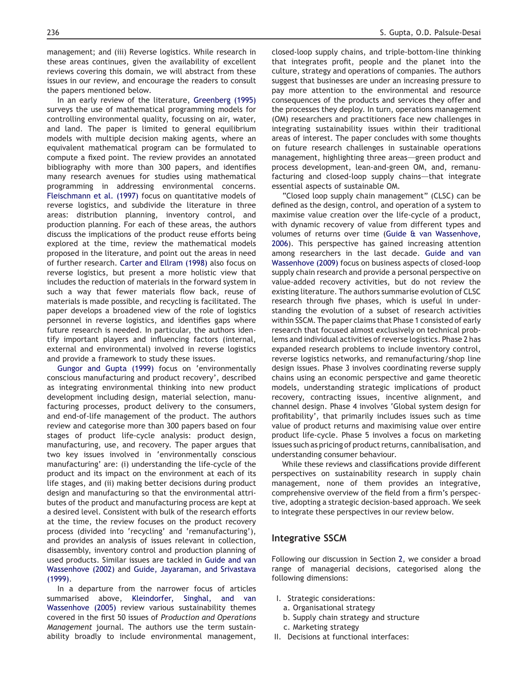management; and (iii) Reverse logistics. While research in these areas continues, given the availability of excellent reviews covering this domain, we will abstract from these issues in our review, and encourage the readers to consult the papers mentioned below.

In an early review of the literature, Greenberg (1995) surveys the use of mathematical programming models for controlling environmental quality, focussing on air, water, and land. The paper is limited to general equilibrium models with multiple decision making agents, where an equivalent mathematical program can be formulated to compute a fixed point. The review provides an annotated bibliography with more than 300 papers, and identifies many research avenues for studies using mathematical programming in addressing environmental concerns. Fleischmann et al. (1997) focus on quantitative models of reverse logistics, and subdivide the literature in three areas: distribution planning, inventory control, and production planning. For each of these areas, the authors discuss the implications of the product reuse efforts being explored at the time, review the mathematical models proposed in the literature, and point out the areas in need of further research. Carter and Ellram (1998) also focus on reverse logistics, but present a more holistic view that includes the reduction of materials in the forward system in such a way that fewer materials flow back, reuse of materials is made possible, and recycling is facilitated. The paper develops a broadened view of the role of logistics personnel in reverse logistics, and identifies gaps where future research is needed. In particular, the authors identify important players and influencing factors (internal, external and environmental) involved in reverse logistics and provide a framework to study these issues.

Gungor and Gupta (1999) focus on 'environmentally conscious manufacturing and product recovery', described as integrating environmental thinking into new product development including design, material selection, manufacturing processes, product delivery to the consumers, and end-of-life management of the product. The authors review and categorise more than 300 papers based on four stages of product life-cycle analysis: product design, manufacturing, use, and recovery. The paper argues that two key issues involved in 'environmentally conscious manufacturing' are: (i) understanding the life-cycle of the product and its impact on the environment at each of its life stages, and (ii) making better decisions during product design and manufacturing so that the environmental attributes of the product and manufacturing process are kept at a desired level. Consistent with bulk of the research efforts at the time, the review focuses on the product recovery process (divided into 'recycling' and 'remanufacturing'), and provides an analysis of issues relevant in collection, disassembly, inventory control and production planning of used products. Similar issues are tackled in Guide and van Wassenhove (2002) and Guide, Jayaraman, and Srivastava (1999).

In a departure from the narrower focus of articles summarised above, Kleindorfer, Singhal, and van Wassenhove (2005) review various sustainability themes covered in the first 50 issues of *Production and Operations Management* journal. The authors use the term sustainability broadly to include environmental management, closed-loop supply chains, and triple-bottom-line thinking that integrates profit, people and the planet into the culture, strategy and operations of companies. The authors suggest that businesses are under an increasing pressure to pay more attention to the environmental and resource consequences of the products and services they offer and the processes they deploy. In turn, operations management (OM) researchers and practitioners face new challenges in integrating sustainability issues within their traditional areas of interest. The paper concludes with some thoughts on future research challenges in sustainable operations management, highlighting three areas-green product and process development, lean-and-green OM, and, remanufacturing and closed-loop supply chains-that integrate essential aspects of sustainable OM.

"Closed loop supply chain management" (CLSC) can be defined as the design, control, and operation of a system to maximise value creation over the life-cycle of a product, with dynamic recovery of value from different types and volumes of returns over time (Guide & van Wassenhove, 2006). This perspective has gained increasing attention among researchers in the last decade. Guide and van Wassenhove (2009) focus on business aspects of closed-loop supply chain research and provide a personal perspective on value-added recovery activities, but do not review the existing literature. The authors summarise evolution of CLSC research through five phases, which is useful in understanding the evolution of a subset of research activities within SSCM. The paper claims that Phase 1 consisted of early research that focused almost exclusively on technical problems and individual activities of reverse logistics. Phase 2 has expanded research problems to include inventory control, reverse logistics networks, and remanufacturing/shop line design issues. Phase 3 involves coordinating reverse supply chains using an economic perspective and game theoretic models, understanding strategic implications of product recovery, contracting issues, incentive alignment, and channel design. Phase 4 involves 'Global system design for profitability', that primarily includes issues such as time value of product returns and maximising value over entire product life-cycle. Phase 5 involves a focus on marketing issues such as pricing of product returns, cannibalisation, and understanding consumer behaviour.

While these reviews and classifications provide different perspectives on sustainability research in supply chain management, none of them provides an integrative, comprehensive overview of the field from a firm's perspective, adopting a strategic decision-based approach. We seek to integrate these perspectives in our review below.

## Integrative SSCM

Following our discussion in Section 2, we consider a broad range of managerial decisions, categorised along the following dimensions:

- I. Strategic considerations:
	- a. Organisational strategy
	- b. Supply chain strategy and structure
	- c. Marketing strategy
- II. Decisions at functional interfaces: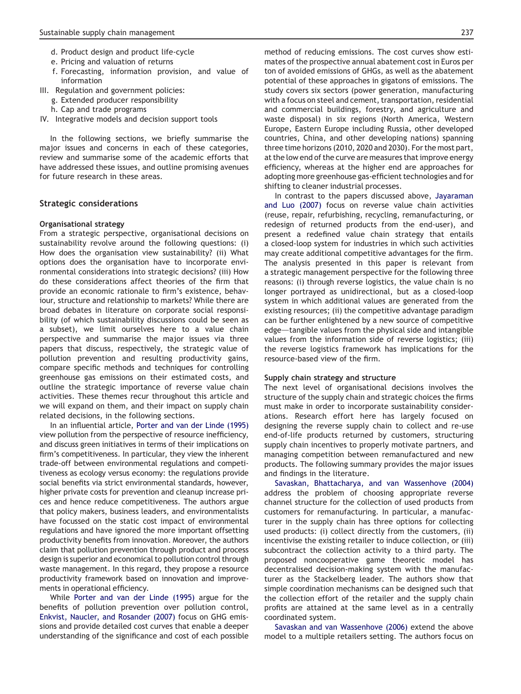- d. Product design and product life-cycle
- e. Pricing and valuation of returns
- f. Forecasting, information provision, and value of information
- III. Regulation and government policies:
	- g. Extended producer responsibility
	- h. Cap and trade programs
- IV. Integrative models and decision support tools

In the following sections, we briefly summarise the major issues and concerns in each of these categories, review and summarise some of the academic efforts that have addressed these issues, and outline promising avenues for future research in these areas.

#### Strategic considerations

#### Organisational strategy

From a strategic perspective, organisational decisions on sustainability revolve around the following questions: (i) How does the organisation view sustainability? (ii) What options does the organisation have to incorporate environmental considerations into strategic decisions? (iii) How do these considerations affect theories of the firm that provide an economic rationale to firm's existence, behaviour, structure and relationship to markets? While there are broad debates in literature on corporate social responsibility (of which sustainability discussions could be seen as a subset), we limit ourselves here to a value chain perspective and summarise the major issues via three papers that discuss, respectively, the strategic value of pollution prevention and resulting productivity gains, compare specific methods and techniques for controlling greenhouse gas emissions on their estimated costs, and outline the strategic importance of reverse value chain activities. These themes recur throughout this article and we will expand on them, and their impact on supply chain related decisions, in the following sections.

In an influential article, Porter and van der Linde (1995) view pollution from the perspective of resource inefficiency, and discuss green initiatives in terms of their implications on firm's competitiveness. In particular, they view the inherent trade-off between environmental regulations and competitiveness as ecology versus economy: the regulations provide social benefits via strict environmental standards, however, higher private costs for prevention and cleanup increase prices and hence reduce competitiveness. The authors argue that policy makers, business leaders, and environmentalists have focussed on the static cost impact of environmental regulations and have ignored the more important offsetting productivity benefits from innovation. Moreover, the authors claim that pollution prevention through product and process design is superior and economical to pollution control through waste management. In this regard, they propose a resource productivity framework based on innovation and improvements in operational efficiency.

While Porter and van der Linde (1995) argue for the benefits of pollution prevention over pollution control, Enkvist, Naucler, and Rosander (2007) focus on GHG emissions and provide detailed cost curves that enable a deeper understanding of the significance and cost of each possible method of reducing emissions. The cost curves show estimates of the prospective annual abatement cost in Euros per ton of avoided emissions of GHGs, as well as the abatement potential of these approaches in gigatons of emissions. The study covers six sectors (power generation, manufacturing with a focus on steel and cement, transportation, residential and commercial buildings, forestry, and agriculture and waste disposal) in six regions (North America, Western Europe, Eastern Europe including Russia, other developed countries, China, and other developing nations) spanning three time horizons (2010, 2020 and 2030). For the most part, at the low end of the curve are measures that improve energy efficiency, whereas at the higher end are approaches for adopting more greenhouse gas-efficient technologies and for shifting to cleaner industrial processes.

In contrast to the papers discussed above, Jayaraman and Luo (2007) focus on reverse value chain activities (reuse, repair, refurbishing, recycling, remanufacturing, or redesign of returned products from the end-user), and present a redefined value chain strategy that entails a closed-loop system for industries in which such activities may create additional competitive advantages for the firm. The analysis presented in this paper is relevant from a strategic management perspective for the following three reasons: (i) through reverse logistics, the value chain is no longer portrayed as unidirectional, but as a closed-loop system in which additional values are generated from the existing resources; (ii) the competitive advantage paradigm can be further enlightened by a new source of competitive edge—tangible values from the physical side and intangible values from the information side of reverse logistics; (iii) the reverse logistics framework has implications for the resource-based view of the firm.

#### Supply chain strategy and structure

The next level of organisational decisions involves the structure of the supply chain and strategic choices the firms must make in order to incorporate sustainability considerations. Research effort here has largely focused on designing the reverse supply chain to collect and re-use end-of-life products returned by customers, structuring supply chain incentives to properly motivate partners, and managing competition between remanufactured and new products. The following summary provides the major issues and findings in the literature.

Savaskan, Bhattacharya, and van Wassenhove (2004) address the problem of choosing appropriate reverse channel structure for the collection of used products from customers for remanufacturing. In particular, a manufacturer in the supply chain has three options for collecting used products: (i) collect directly from the customers, (ii) incentivise the existing retailer to induce collection, or (iii) subcontract the collection activity to a third party. The proposed noncooperative game theoretic model has decentralised decision-making system with the manufacturer as the Stackelberg leader. The authors show that simple coordination mechanisms can be designed such that the collection effort of the retailer and the supply chain profits are attained at the same level as in a centrally coordinated system.

Savaskan and van Wassenhove (2006) extend the above model to a multiple retailers setting. The authors focus on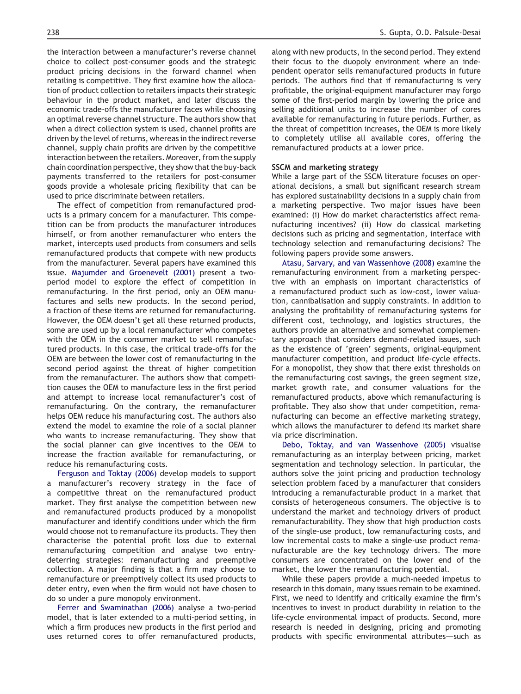the interaction between a manufacturer's reverse channel choice to collect post-consumer goods and the strategic product pricing decisions in the forward channel when retailing is competitive. They first examine how the allocation of product collection to retailers impacts their strategic behaviour in the product market, and later discuss the economic trade-offs the manufacturer faces while choosing an optimal reverse channel structure. The authors show that when a direct collection system is used, channel profits are driven by the level of returns, whereas in the indirect reverse channel, supply chain profits are driven by the competitive interaction between the retailers. Moreover, from the supply chain coordination perspective, they show that the buy-back payments transferred to the retailers for post-consumer goods provide a wholesale pricing flexibility that can be used to price discriminate between retailers.

The effect of competition from remanufactured products is a primary concern for a manufacturer. This competition can be from products the manufacturer introduces himself, or from another remanufacturer who enters the market, intercepts used products from consumers and sells remanufactured products that compete with new products from the manufacturer. Several papers have examined this issue. Majumder and Groenevelt (2001) present a twoperiod model to explore the effect of competition in remanufacturing. In the first period, only an OEM manufactures and sells new products. In the second period, a fraction of these items are returned for remanufacturing. However, the OEM doesn't get all these returned products, some are used up by a local remanufacturer who competes with the OEM in the consumer market to sell remanufactured products. In this case, the critical trade-offs for the OEM are between the lower cost of remanufacturing in the second period against the threat of higher competition from the remanufacturer. The authors show that competition causes the OEM to manufacture less in the first period and attempt to increase local remanufacturer's cost of remanufacturing. On the contrary, the remanufacturer helps OEM reduce his manufacturing cost. The authors also extend the model to examine the role of a social planner who wants to increase remanufacturing. They show that the social planner can give incentives to the OEM to increase the fraction available for remanufacturing, or reduce his remanufacturing costs.

Ferguson and Toktay (2006) develop models to support a manufacturer's recovery strategy in the face of a competitive threat on the remanufactured product market. They first analyse the competition between new and remanufactured products produced by a monopolist manufacturer and identify conditions under which the firm would choose not to remanufacture its products. They then characterise the potential profit loss due to external remanufacturing competition and analyse two entrydeterring strategies: remanufacturing and preemptive collection. A major finding is that a firm may choose to remanufacture or preemptively collect its used products to deter entry, even when the firm would not have chosen to do so under a pure monopoly environment.

Ferrer and Swaminathan (2006) analyse a two-period model, that is later extended to a multi-period setting, in which a firm produces new products in the first period and uses returned cores to offer remanufactured products,

along with new products, in the second period. They extend their focus to the duopoly environment where an independent operator sells remanufactured products in future periods. The authors find that if remanufacturing is very profitable, the original-equipment manufacturer may forgo some of the first-period margin by lowering the price and selling additional units to increase the number of cores available for remanufacturing in future periods. Further, as the threat of competition increases, the OEM is more likely to completely utilise all available cores, offering the remanufactured products at a lower price.

# SSCM and marketing strategy

While a large part of the SSCM literature focuses on operational decisions, a small but significant research stream has explored sustainability decisions in a supply chain from a marketing perspective. Two major issues have been examined: (i) How do market characteristics affect remanufacturing incentives? (ii) How do classical marketing decisions such as pricing and segmentation, interface with technology selection and remanufacturing decisions? The following papers provide some answers.

Atasu, Sarvary, and van Wassenhove (2008) examine the remanufacturing environment from a marketing perspective with an emphasis on important characteristics of a remanufactured product such as low-cost, lower valuation, cannibalisation and supply constraints. In addition to analysing the profitability of remanufacturing systems for different cost, technology, and logistics structures, the authors provide an alternative and somewhat complementary approach that considers demand-related issues, such as the existence of 'green' segments, original-equipment manufacturer competition, and product life-cycle effects. For a monopolist, they show that there exist thresholds on the remanufacturing cost savings, the green segment size, market growth rate, and consumer valuations for the remanufactured products, above which remanufacturing is profitable. They also show that under competition, remanufacturing can become an effective marketing strategy, which allows the manufacturer to defend its market share via price discrimination.

Debo, Toktay, and van Wassenhove (2005) visualise remanufacturing as an interplay between pricing, market segmentation and technology selection. In particular, the authors solve the joint pricing and production technology selection problem faced by a manufacturer that considers introducing a remanufacturable product in a market that consists of heterogeneous consumers. The objective is to understand the market and technology drivers of product remanufacturability. They show that high production costs of the single-use product, low remanufacturing costs, and low incremental costs to make a single-use product remanufacturable are the key technology drivers. The more consumers are concentrated on the lower end of the market, the lower the remanufacturing potential.

While these papers provide a much-needed impetus to research in this domain, many issues remain to be examined. First, we need to identify and critically examine the firm's incentives to invest in product durability in relation to the life-cycle environmental impact of products. Second, more research is needed in designing, pricing and promoting products with specific environmental attributes—such as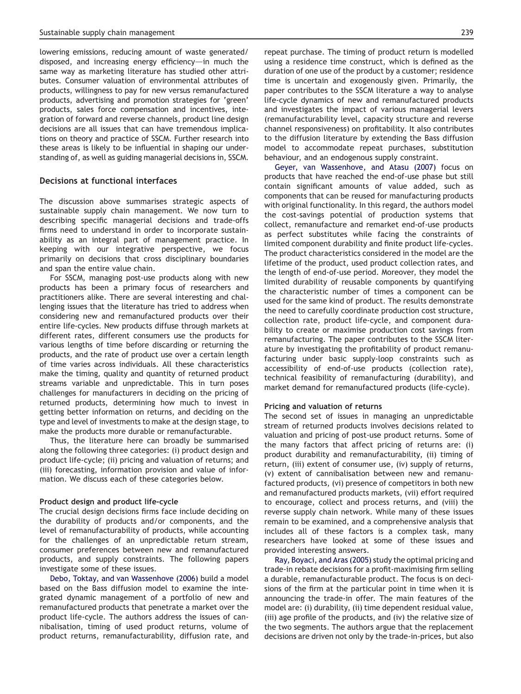lowering emissions, reducing amount of waste generated/ disposed, and increasing energy efficiency—in much the same way as marketing literature has studied other attributes. Consumer valuation of environmental attributes of products, willingness to pay for new versus remanufactured products, advertising and promotion strategies for 'green' products, sales force compensation and incentives, integration of forward and reverse channels, product line design decisions are all issues that can have tremendous implications on theory and practice of SSCM. Further research into these areas is likely to be influential in shaping our understanding of, as well as guiding managerial decisions in, SSCM.

#### Decisions at functional interfaces

The discussion above summarises strategic aspects of sustainable supply chain management. We now turn to describing specific managerial decisions and trade-offs firms need to understand in order to incorporate sustainability as an integral part of management practice. In keeping with our integrative perspective, we focus primarily on decisions that cross disciplinary boundaries and span the entire value chain.

For SSCM, managing post-use products along with new products has been a primary focus of researchers and practitioners alike. There are several interesting and challenging issues that the literature has tried to address when considering new and remanufactured products over their entire life-cycles. New products diffuse through markets at different rates, different consumers use the products for various lengths of time before discarding or returning the products, and the rate of product use over a certain length of time varies across individuals. All these characteristics make the timing, quality and quantity of returned product streams variable and unpredictable. This in turn poses challenges for manufacturers in deciding on the pricing of returned products, determining how much to invest in getting better information on returns, and deciding on the type and level of investments to make at the design stage, to make the products more durable or remanufacturable.

Thus, the literature here can broadly be summarised along the following three categories: (i) product design and product life-cycle; (ii) pricing and valuation of returns; and (iii) forecasting, information provision and value of information. We discuss each of these categories below.

#### Product design and product life-cycle

The crucial design decisions firms face include deciding on the durability of products and/or components, and the level of remanufacturability of products, while accounting for the challenges of an unpredictable return stream, consumer preferences between new and remanufactured products, and supply constraints. The following papers investigate some of these issues.

Debo, Toktay, and van Wassenhove (2006) build a model based on the Bass diffusion model to examine the integrated dynamic management of a portfolio of new and remanufactured products that penetrate a market over the product life-cycle. The authors address the issues of cannibalisation, timing of used product returns, volume of product returns, remanufacturability, diffusion rate, and repeat purchase. The timing of product return is modelled using a residence time construct, which is defined as the duration of one use of the product by a customer; residence time is uncertain and exogenously given. Primarily, the paper contributes to the SSCM literature a way to analyse life-cycle dynamics of new and remanufactured products and investigates the impact of various managerial levers (remanufacturability level, capacity structure and reverse channel responsiveness) on profitability. It also contributes to the diffusion literature by extending the Bass diffusion model to accommodate repeat purchases, substitution behaviour, and an endogenous supply constraint.

Geyer, van Wassenhove, and Atasu (2007) focus on products that have reached the end-of-use phase but still contain significant amounts of value added, such as components that can be reused for manufacturing products with original functionality. In this regard, the authors model the cost-savings potential of production systems that collect, remanufacture and remarket end-of-use products as perfect substitutes while facing the constraints of limited component durability and finite product life-cycles. The product characteristics considered in the model are the lifetime of the product, used product collection rates, and the length of end-of-use period. Moreover, they model the limited durability of reusable components by quantifying the characteristic number of times a component can be used for the same kind of product. The results demonstrate the need to carefully coordinate production cost structure, collection rate, product life-cycle, and component durability to create or maximise production cost savings from remanufacturing. The paper contributes to the SSCM literature by investigating the profitability of product remanufacturing under basic supply-loop constraints such as accessibility of end-of-use products (collection rate), technical feasibility of remanufacturing (durability), and market demand for remanufactured products (life-cycle).

#### Pricing and valuation of returns

The second set of issues in managing an unpredictable stream of returned products involves decisions related to valuation and pricing of post-use product returns. Some of the many factors that affect pricing of returns are: (i) product durability and remanufacturability, (ii) timing of return, (iii) extent of consumer use, (iv) supply of returns, (v) extent of cannibalisation between new and remanufactured products, (vi) presence of competitors in both new and remanufactured products markets, (vii) effort required to encourage, collect and process returns, and (viii) the reverse supply chain network. While many of these issues remain to be examined, and a comprehensive analysis that includes all of these factors is a complex task, many researchers have looked at some of these issues and provided interesting answers.

Ray, Boyaci, and Aras (2005) study the optimal pricing and trade-in rebate decisions for a profit-maximising firm selling a durable, remanufacturable product. The focus is on decisions of the firm at the particular point in time when it is announcing the trade-in offer. The main features of the model are: (i) durability, (ii) time dependent residual value, (iii) age profile of the products, and (iv) the relative size of the two segments. The authors argue that the replacement decisions are driven not only by the trade-in-prices, but also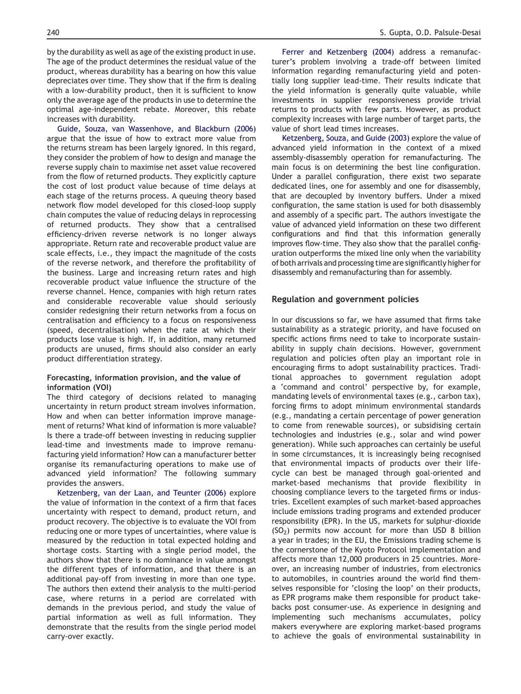by the durability as well as age of the existing product in use. The age of the product determines the residual value of the product, whereas durability has a bearing on how this value depreciates over time. They show that if the firm is dealing with a low-durability product, then it is sufficient to know only the average age of the products in use to determine the optimal age-independent rebate. Moreover, this rebate increases with durability.

Guide, Souza, van Wassenhove, and Blackburn (2006) argue that the issue of how to extract more value from the returns stream has been largely ignored. In this regard, they consider the problem of how to design and manage the reverse supply chain to maximise net asset value recovered from the flow of returned products. They explicitly capture the cost of lost product value because of time delays at each stage of the returns process. A queuing theory based network flow model developed for this closed-loop supply chain computes the value of reducing delays in reprocessing of returned products. They show that a centralised efficiency-driven reverse network is no longer always appropriate. Return rate and recoverable product value are scale effects, i.e., they impact the magnitude of the costs of the reverse network, and therefore the profitability of the business. Large and increasing return rates and high recoverable product value influence the structure of the reverse channel. Hence, companies with high return rates and considerable recoverable value should seriously consider redesigning their return networks from a focus on centralisation and efficiency to a focus on responsiveness (speed, decentralisation) when the rate at which their products lose value is high. If, in addition, many returned products are unused, firms should also consider an early product differentiation strategy.

#### Forecasting, information provision, and the value of information (VOI)

The third category of decisions related to managing uncertainty in return product stream involves information. How and when can better information improve management of returns? What kind of information is more valuable? Is there a trade-off between investing in reducing supplier lead-time and investments made to improve remanufacturing yield information? How can a manufacturer better organise its remanufacturing operations to make use of advanced yield information? The following summary provides the answers.

Ketzenberg, van der Laan, and Teunter (2006) explore the value of information in the context of a firm that faces uncertainty with respect to demand, product return, and product recovery. The objective is to evaluate the VOI from reducing one or more types of uncertainties, where value is measured by the reduction in total expected holding and shortage costs. Starting with a single period model, the authors show that there is no dominance in value amongst the different types of information, and that there is an additional pay-off from investing in more than one type. The authors then extend their analysis to the multi-period case, where returns in a period are correlated with demands in the previous period, and study the value of partial information as well as full information. They demonstrate that the results from the single period model carry-over exactly.

turer's problem involving a trade-off between limited information regarding remanufacturing yield and potentially long supplier lead-time. Their results indicate that the yield information is generally quite valuable, while investments in supplier responsiveness provide trivial returns to products with few parts. However, as product complexity increases with large number of target parts, the value of short lead times increases.

Ketzenberg, Souza, and Guide (2003) explore the value of advanced yield information in the context of a mixed assembly-disassembly operation for remanufacturing. The main focus is on determining the best line configuration. Under a parallel configuration, there exist two separate dedicated lines, one for assembly and one for disassembly, that are decoupled by inventory buffers. Under a mixed configuration, the same station is used for both disassembly and assembly of a specific part. The authors investigate the value of advanced yield information on these two different configurations and find that this information generally improves flow-time. They also show that the parallel configuration outperforms the mixed line only when the variability of both arrivals and processing time are significantly higher for disassembly and remanufacturing than for assembly.

# Regulation and government policies

In our discussions so far, we have assumed that firms take sustainability as a strategic priority, and have focused on specific actions firms need to take to incorporate sustainability in supply chain decisions. However, government regulation and policies often play an important role in encouraging firms to adopt sustainability practices. Traditional approaches to government regulation adopt a 'command and control' perspective by, for example, mandating levels of environmental taxes (e.g., carbon tax), forcing firms to adopt minimum environmental standards (e.g., mandating a certain percentage of power generation to come from renewable sources), or subsidising certain technologies and industries (e.g., solar and wind power generation). While such approaches can certainly be useful in some circumstances, it is increasingly being recognised that environmental impacts of products over their lifecycle can best be managed through goal-oriented and market-based mechanisms that provide flexibility in choosing compliance levers to the targeted firms or industries. Excellent examples of such market-based approaches include emissions trading programs and extended producer responsibility (EPR). In the US, markets for sulphur-dioxide  $(SO<sub>2</sub>)$  permits now account for more than USD 8 billion a year in trades; in the EU, the Emissions trading scheme is the cornerstone of the Kyoto Protocol implementation and affects more than 12,000 producers in 25 countries. Moreover, an increasing number of industries, from electronics to automobiles, in countries around the world find themselves responsible for 'closing the loop' on their products, as EPR programs make them responsible for product takebacks post consumer-use. As experience in designing and implementing such mechanisms accumulates, policy makers everywhere are exploring market-based programs to achieve the goals of environmental sustainability in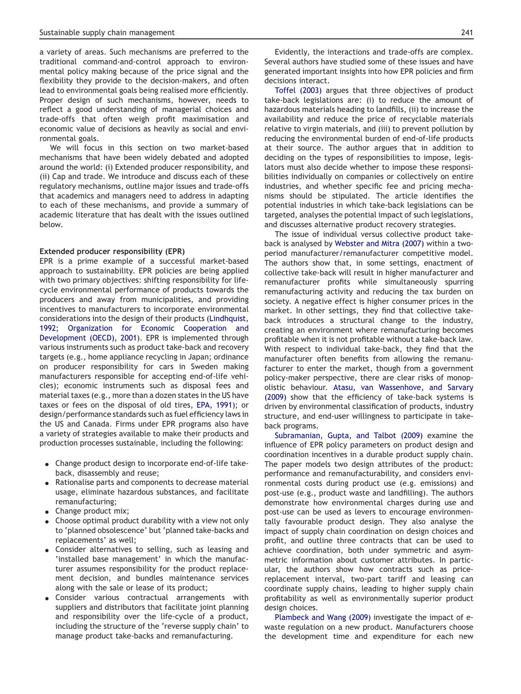a variety of areas. Such mechanisms are preferred to the traditional command-and-control approach to environmental policy making because of the price signal and the flexibility they provide to the decision-makers, and often lead to environmental goals being realised more efficiently. Proper design of such mechanisms, however, needs to reflect a good understanding of managerial choices and trade-offs that often weigh profit maximisation and economic value of decisions as heavily as social and environmental goals.

We will focus in this section on two market-based mechanisms that have been widely debated and adopted around the world: (i) Extended producer responsibility, and (ii) Cap and trade. We introduce and discuss each of these regulatory mechanisms, outline major issues and trade-offs that academics and managers need to address in adapting to each of these mechanisms, and provide a summary of academic literature that has dealt with the issues outlined below.

#### Extended producer responsibility (EPR)

EPR is a prime example of a successful market-based approach to sustainability. EPR policies are being applied with two primary objectives: shifting responsibility for lifecycle environmental performance of products towards the producers and away from municipalities, and providing incentives to manufacturers to incorporate environmental considerations into the design of their products (Lindhquist, 1992; Organization for Economic Cooperation and Development (OECD), 2001). EPR is implemented through various instruments such as product take-back and recovery targets (e.g., home appliance recycling in Japan; ordinance on producer responsibility for cars in Sweden making manufacturers responsible for accepting end-of-life vehicles); economic instruments such as disposal fees and material taxes (e.g., more than a dozen states in the US have taxes or fees on the disposal of old tires, EPA, 1991); or design/performance standards such as fuel efficiency laws in the US and Canada. Firms under EPR programs also have a variety of strategies available to make their products and production processes sustainable, including the following:

- Change product design to incorporate end-of-life takeback, disassembly and reuse;
- Rationalise parts and components to decrease material usage, eliminate hazardous substances, and facilitate remanufacturing;
- $\bullet$  Change product mix;
- $\bullet$  Choose optimal product durability with a view not only to 'planned obsolescence' but 'planned take-backs and replacements' as well;
- Consider alternatives to selling, such as leasing and 'installed base management' in which the manufacturer assumes responsibility for the product replacement decision, and bundles maintenance services along with the sale or lease of its product;
- Consider various contractual arrangements with suppliers and distributors that facilitate joint planning and responsibility over the life-cycle of a product, including the structure of the 'reverse supply chain' to manage product take-backs and remanufacturing.

Evidently, the interactions and trade-offs are complex. Several authors have studied some of these issues and have generated important insights into how EPR policies and firm decisions interact.

Toffel (2003) argues that three objectives of product take-back legislations are: (i) to reduce the amount of hazardous materials heading to landfills, (ii) to increase the availability and reduce the price of recyclable materials relative to virgin materials, and (iii) to prevent pollution by reducing the environmental burden of end-of-life products at their source. The author argues that in addition to deciding on the types of responsibilities to impose, legislators must also decide whether to impose these responsibilities individually on companies or collectively on entire industries, and whether specific fee and pricing mechanisms should be stipulated. The article identifies the potential industries in which take-back legislations can be targeted, analyses the potential impact of such legislations, and discusses alternative product recovery strategies.

The issue of individual versus collective product takeback is analysed by Webster and Mitra (2007) within a twoperiod manufacturer/remanufacturer competitive model. The authors show that, in some settings, enactment of collective take-back will result in higher manufacturer and remanufacturer profits while simultaneously spurring remanufacturing activity and reducing the tax burden on society. A negative effect is higher consumer prices in the market. In other settings, they find that collective takeback introduces a structural change to the industry, creating an environment where remanufacturing becomes profitable when it is not profitable without a take-back law. With respect to individual take-back, they find that the manufacturer often benefits from allowing the remanufacturer to enter the market, though from a government policy-maker perspective, there are clear risks of monopolistic behaviour. Atasu, van Wassenhove, and Sarvary (2009) show that the efficiency of take-back systems is driven by environmental classification of products, industry structure, and end-user willingness to participate in takeback programs.

Subramanian, Gupta, and Talbot (2009) examine the influence of EPR policy parameters on product design and coordination incentives in a durable product supply chain. The paper models two design attributes of the product: performance and remanufacturability, and considers environmental costs during product use (e.g. emissions) and post-use (e.g., product waste and landfilling). The authors demonstrate how environmental charges during use and post-use can be used as levers to encourage environmentally favourable product design. They also analyse the impact of supply chain coordination on design choices and profit, and outline three contracts that can be used to achieve coordination, both under symmetric and asymmetric information about customer attributes. In particular, the authors show how contracts such as pricereplacement interval, two-part tariff and leasing can coordinate supply chains, leading to higher supply chain profitability as well as environmentally superior product design choices.

Plambeck and Wang (2009) investigate the impact of ewaste regulation on a new product. Manufacturers choose the development time and expenditure for each new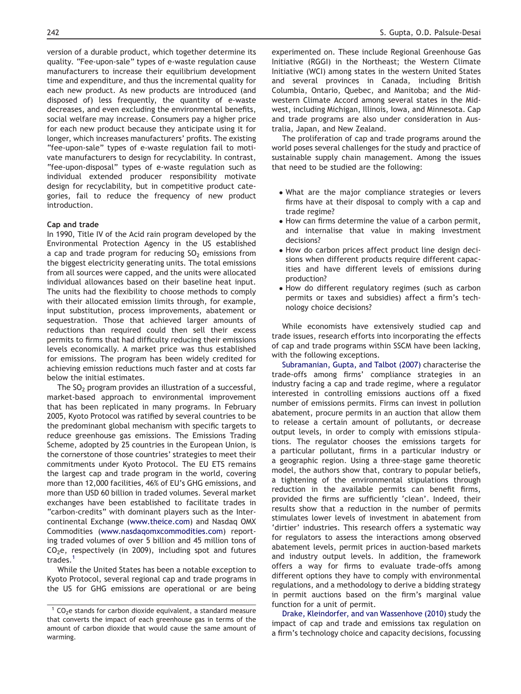version of a durable product, which together determine its quality. "Fee-upon-sale" types of e-waste regulation cause manufacturers to increase their equilibrium development time and expenditure, and thus the incremental quality for each new product. As new products are introduced (and disposed of) less frequently, the quantity of e-waste decreases, and even excluding the environmental benefits, social welfare may increase. Consumers pay a higher price for each new product because they anticipate using it for longer, which increases manufacturers' profits. The existing "fee-upon-sale" types of e-waste regulation fail to motivate manufacturers to design for recyclability. In contrast, "fee-upon-disposal" types of e-waste regulation such as individual extended producer responsibility motivate design for recyclability, but in competitive product categories, fail to reduce the frequency of new product introduction.

#### Cap and trade

In 1990, Title IV of the Acid rain program developed by the Environmental Protection Agency in the US established a cap and trade program for reducing  $SO<sub>2</sub>$  emissions from the biggest electricity generating units. The total emissions from all sources were capped, and the units were allocated individual allowances based on their baseline heat input. The units had the flexibility to choose methods to comply with their allocated emission limits through, for example, input substitution, process improvements, abatement or sequestration. Those that achieved larger amounts of reductions than required could then sell their excess permits to firms that had difficulty reducing their emissions levels economically. A market price was thus established for emissions. The program has been widely credited for achieving emission reductions much faster and at costs far below the initial estimates.

The  $SO<sub>2</sub>$  program provides an illustration of a successful, market-based approach to environmental improvement that has been replicated in many programs. In February 2005, Kyoto Protocol was ratified by several countries to be the predominant global mechanism with specific targets to reduce greenhouse gas emissions. The Emissions Trading Scheme, adopted by 25 countries in the European Union, is the cornerstone of those countries' strategies to meet their commitments under Kyoto Protocol. The EU ETS remains the largest cap and trade program in the world, covering more than 12,000 facilities, 46% of EU's GHG emissions, and more than USD 60 billion in traded volumes. Several market exchanges have been established to facilitate trades in "carbon-credits" with dominant players such as the Intercontinental Exchange (www.theice.com) and Nasdaq OMX Commodities (www.nasdaqomxcommodities.com) reporting traded volumes of over 5 billion and 45 million tons of  $CO<sub>2</sub>e$ , respectively (in 2009), including spot and futures trades.<sup>1</sup>

While the United States has been a notable exception to Kyoto Protocol, several regional cap and trade programs in the US for GHG emissions are operational or are being

experimented on. These include Regional Greenhouse Gas Initiative (RGGI) in the Northeast; the Western Climate Initiative (WCI) among states in the western United States and several provinces in Canada, including British Columbia, Ontario, Quebec, and Manitoba; and the Midwestern Climate Accord among several states in the Midwest, including Michigan, Illinois, Iowa, and Minnesota. Cap and trade programs are also under consideration in Australia, Japan, and New Zealand.

The proliferation of cap and trade programs around the world poses several challenges for the study and practice of sustainable supply chain management. Among the issues that need to be studied are the following:

- What are the major compliance strategies or levers firms have at their disposal to comply with a cap and trade regime?
- How can firms determine the value of a carbon permit, and internalise that value in making investment decisions?
- How do carbon prices affect product line design decisions when different products require different capacities and have different levels of emissions during production?
- How do different regulatory regimes (such as carbon permits or taxes and subsidies) affect a firm's technology choice decisions?

While economists have extensively studied cap and trade issues, research efforts into incorporating the effects of cap and trade programs within SSCM have been lacking, with the following exceptions.

Subramanian, Gupta, and Talbot (2007) characterise the trade-offs among firms' compliance strategies in an industry facing a cap and trade regime, where a regulator interested in controlling emissions auctions off a fixed number of emissions permits. Firms can invest in pollution abatement, procure permits in an auction that allow them to release a certain amount of pollutants, or decrease output levels, in order to comply with emissions stipulations. The regulator chooses the emissions targets for a particular pollutant, firms in a particular industry or a geographic region. Using a three-stage game theoretic model, the authors show that, contrary to popular beliefs, a tightening of the environmental stipulations through reduction in the available permits can benefit firms, provided the firms are sufficiently 'clean'. Indeed, their results show that a reduction in the number of permits stimulates lower levels of investment in abatement from 'dirtier' industries. This research offers a systematic way for regulators to assess the interactions among observed abatement levels, permit prices in auction-based markets and industry output levels. In addition, the framework offers a way for firms to evaluate trade-offs among different options they have to comply with environmental regulations, and a methodology to derive a bidding strategy in permit auctions based on the firm's marginal value function for a unit of permit.

Drake, Kleindorfer, and van Wassenhove (2010) study the impact of cap and trade and emissions tax regulation on a firm's technology choice and capacity decisions, focussing

 $1$  CO<sub>2</sub>e stands for carbon dioxide equivalent, a standard measure that converts the impact of each greenhouse gas in terms of the amount of carbon dioxide that would cause the same amount of warming.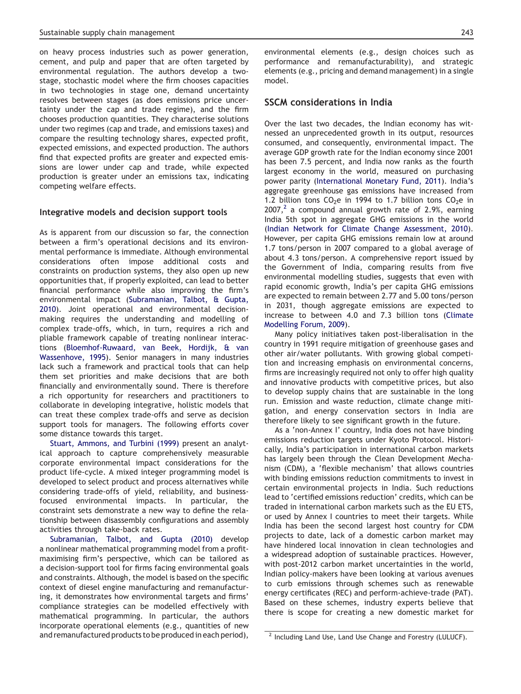on heavy process industries such as power generation, cement, and pulp and paper that are often targeted by environmental regulation. The authors develop a twostage, stochastic model where the firm chooses capacities in two technologies in stage one, demand uncertainty resolves between stages (as does emissions price uncertainty under the cap and trade regime), and the firm chooses production quantities. They characterise solutions under two regimes (cap and trade, and emissions taxes) and compare the resulting technology shares, expected profit, expected emissions, and expected production. The authors find that expected profits are greater and expected emissions are lower under cap and trade, while expected production is greater under an emissions tax, indicating competing welfare effects.

#### Integrative models and decision support tools

As is apparent from our discussion so far, the connection between a firm's operational decisions and its environmental performance is immediate. Although environmental considerations often impose additional costs and constraints on production systems, they also open up new opportunities that, if properly exploited, can lead to better financial performance while also improving the firm's environmental impact (Subramanian, Talbot, & Gupta, 2010). Joint operational and environmental decisionmaking requires the understanding and modelling of complex trade-offs, which, in turn, requires a rich and pliable framework capable of treating nonlinear interactions (Bloemhof-Ruwaard, van Beek, Hordijk, & van Wassenhove, 1995). Senior managers in many industries lack such a framework and practical tools that can help them set priorities and make decisions that are both financially and environmentally sound. There is therefore a rich opportunity for researchers and practitioners to collaborate in developing integrative, holistic models that can treat these complex trade-offs and serve as decision support tools for managers. The following efforts cover some distance towards this target.

Stuart, Ammons, and Turbini (1999) present an analytical approach to capture comprehensively measurable corporate environmental impact considerations for the product life-cycle. A mixed integer programming model is developed to select product and process alternatives while considering trade-offs of yield, reliability, and businessfocused environmental impacts. In particular, the constraint sets demonstrate a new way to define the relationship between disassembly configurations and assembly activities through take-back rates.

Subramanian, Talbot, and Gupta (2010) develop a nonlinear mathematical programming model from a profitmaximising firm's perspective, which can be tailored as a decision-support tool for firms facing environmental goals and constraints. Although, the model is based on the specific context of diesel engine manufacturing and remanufacturing, it demonstrates how environmental targets and firms' compliance strategies can be modelled effectively with mathematical programming. In particular, the authors incorporate operational elements (e.g., quantities of new and remanufactured products to be produced in each period), environmental elements (e.g., design choices such as performance and remanufacturability), and strategic elements (e.g., pricing and demand management) in a single model.

# SSCM considerations in India

Over the last two decades, the Indian economy has witnessed an unprecedented growth in its output, resources consumed, and consequently, environmental impact. The average GDP growth rate for the Indian economy since 2001 has been 7.5 percent, and India now ranks as the fourth largest economy in the world, measured on purchasing power parity (International Monetary Fund, 2011). India's aggregate greenhouse gas emissions have increased from 1.2 billion tons  $CO<sub>2</sub>e$  in 1994 to 1.7 billion tons  $CO<sub>2</sub>e$  in  $2007$ ,<sup>2</sup> a compound annual growth rate of 2.9%, earning India 5th spot in aggregate GHG emissions in the world (Indian Network for Climate Change Assessment, 2010). However, per capita GHG emissions remain low at around 1.7 tons/person in 2007 compared to a global average of about 4.3 tons/person. A comprehensive report issued by the Government of India, comparing results from five environmental modelling studies, suggests that even with rapid economic growth, India's per capita GHG emissions are expected to remain between 2.77 and 5.00 tons/person in 2031, though aggregate emissions are expected to increase to between 4.0 and 7.3 billion tons (Climate Modelling Forum, 2009).

Many policy initiatives taken post-liberalisation in the country in 1991 require mitigation of greenhouse gases and other air/water pollutants. With growing global competition and increasing emphasis on environmental concerns, firms are increasingly required not only to offer high quality and innovative products with competitive prices, but also to develop supply chains that are sustainable in the long run. Emission and waste reduction, climate change mitigation, and energy conservation sectors in India are therefore likely to see significant growth in the future.

As a 'non-Annex I' country, India does not have binding emissions reduction targets under Kyoto Protocol. Historically, India's participation in international carbon markets has largely been through the Clean Development Mechanism (CDM), a 'flexible mechanism' that allows countries with binding emissions reduction commitments to invest in certain environmental projects in India. Such reductions lead to 'certified emissions reduction' credits, which can be traded in international carbon markets such as the EU ETS, or used by Annex I countries to meet their targets. While India has been the second largest host country for CDM projects to date, lack of a domestic carbon market may have hindered local innovation in clean technologies and a widespread adoption of sustainable practices. However, with post-2012 carbon market uncertainties in the world, Indian policy-makers have been looking at various avenues to curb emissions through schemes such as renewable energy certificates (REC) and perform-achieve-trade (PAT). Based on these schemes, industry experts believe that there is scope for creating a new domestic market for

<sup>&</sup>lt;sup>2</sup> Including Land Use, Land Use Change and Forestry (LULUCF).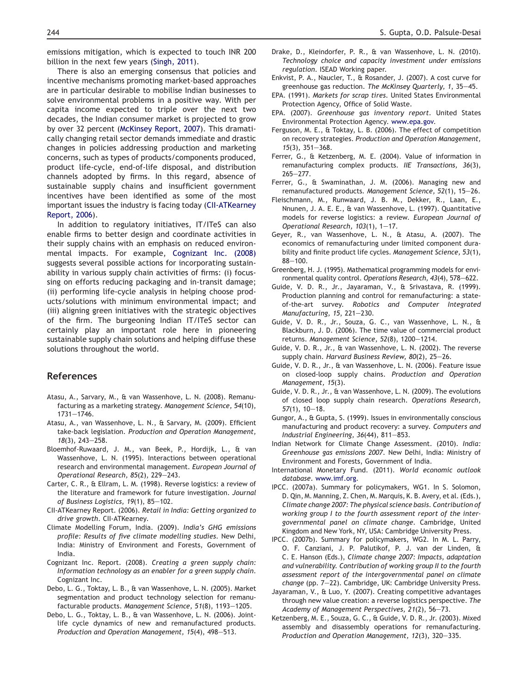emissions mitigation, which is expected to touch INR 200 billion in the next few years (Singh, 2011).

There is also an emerging consensus that policies and incentive mechanisms promoting market-based approaches are in particular desirable to mobilise Indian businesses to solve environmental problems in a positive way. With per capita income expected to triple over the next two decades, the Indian consumer market is projected to grow by over 32 percent (McKinsey Report, 2007). This dramatically changing retail sector demands immediate and drastic changes in policies addressing production and marketing concerns, such as types of products/components produced, product life-cycle, end-of-life disposal, and distribution channels adopted by firms. In this regard, absence of sustainable supply chains and insufficient government incentives have been identified as some of the most important issues the industry is facing today (CII-ATKearney Report, 2006).

In addition to regulatory initiatives, IT/ITeS can also enable firms to better design and coordinate activities in their supply chains with an emphasis on reduced environmental impacts. For example, Cognizant Inc. (2008) suggests several possible actions for incorporating sustainability in various supply chain activities of firms: (i) focussing on efforts reducing packaging and in-transit damage; (ii) performing life-cycle analysis in helping choose products/solutions with minimum environmental impact; and (iii) aligning green initiatives with the strategic objectives of the firm. The burgeoning Indian IT/ITeS sector can certainly play an important role here in pioneering sustainable supply chain solutions and helping diffuse these solutions throughout the world.

## References

- Atasu, A., Sarvary, M., & van Wassenhove, L. N. (2008). Remanufacturing as a marketing strategy. *Management Science, 54*(10),  $1731 - 1746.$
- Atasu, A., van Wassenhove, L. N., & Sarvary, M. (2009). Efficient take-back legislation. *Production and Operation Management, 18*(3), 243-258.
- Bloemhof-Ruwaard, J. M., van Beek, P., Hordijk, L., & van Wassenhove, L. N. (1995). Interactions between operational research and environmental management. *European Journal of Operational Research, 85(2), 229-243.*
- Carter, C. R., & Ellram, L. M. (1998). Reverse logistics: a review of the literature and framework for future investigation. *Journal of Business Logistics, 19(1), 85-102.*
- CII-ATKearney Report. (2006). *Retail in India: Getting organized to drive growth*. CII-ATKearney.
- Climate Modelling Forum, India. (2009). *India's GHG emissions profile: Results of five climate modelling studies*. New Delhi, India: Ministry of Environment and Forests, Government of India.
- Cognizant Inc. Report. (2008). *Creating a green supply chain: Information technology as an enabler for a green supply chain*. Cognizant Inc.
- Debo, L. G., Toktay, L. B., & van Wassenhove, L. N. (2005). Market segmentation and product technology selection for remanufacturable products. *Management Science*, 51(8), 1193-1205.
- Debo, L. G., Toktay, L. B., & van Wassenhove, L. N. (2006). Jointlife cycle dynamics of new and remanufactured products. *Production and Operation Management, 15(4), 498-513.*
- Drake, D., Kleindorfer, P. R., & van Wassenhove, L. N. (2010). *Technology choice and capacity investment under emissions regulation*. ISEAD Working paper.
- Enkvist, P. A., Naucler, T., & Rosander, J. (2007). A cost curve for greenhouse gas reduction. The McKinsey Quarterly, 1, 35-45.
- EPA. (1991). *Markets for scrap tires*. United States Environmental Protection Agency, Office of Solid Waste.
- EPA. (2007). *Greenhouse gas inventory report*. United States Environmental Protection Agency. www.epa.gov.
- Ferguson, M. E., & Toktay, L. B. (2006). The effect of competition on recovery strategies. *Production and Operation Management, 15*(3), 351-368.
- Ferrer, G., & Ketzenberg, M. E. (2004). Value of information in remanufacturing complex products. *IIE Transactions, 36*(3),  $265 - 277$ .
- Ferrer, G., & Swaminathan, J. M. (2006). Managing new and remanufactured products. Management Science, 52(1), 15-26.
- Fleischmann, M., Runwaard, J. B. M., Dekker, R., Laan, E., Nnunen, J. A. E. E., & van Wassenhove, L. (1997). Quantitative models for reverse logistics: a review. *European Journal of Operational Research, 103(1), 1-17.*
- Geyer, R., van Wassenhove, L. N., & Atasu, A. (2007). The economics of remanufacturing under limited component durability and finite product life cycles. *Management Science, 53*(1),  $88 - 100.$
- Greenberg, H. J. (1995). Mathematical programming models for environmental quality control. Operations Research, 43(4), 578-622.
- Guide, V. D. R., Jr., Jayaraman, V., & Srivastava, R. (1999). Production planning and control for remanufacturing: a stateof-the-art survey. *Robotics and Computer Integrated Manufacturing, 15, 221-230.*
- Guide, V. D. R., Jr., Souza, G. C., van Wassenhove, L. N., & Blackburn, J. D. (2006). The time value of commercial product returns. Management Science, 52(8), 1200-1214.
- Guide, V. D. R., Jr., & van Wassenhove, L. N. (2002). The reverse supply chain. *Harvard Business Review*, 80(2), 25-26.
- Guide, V. D. R., Jr., & van Wassenhove, L. N. (2006). Feature issue on closed-loop supply chains. *Production and Operation Management, 15*(3).
- Guide, V. D. R., Jr., & van Wassenhove, L. N. (2009). The evolutions of closed loop supply chain research. *Operations Research, 57*(1), 10-18.
- Gungor, A., & Gupta, S. (1999). Issues in environmentally conscious manufacturing and product recovery: a survey. *Computers and Industrial Engineering, 36(44), 811–853.*
- Indian Network for Climate Change Assessment. (2010). *India: Greenhouse gas emissions 2007*. New Delhi, India: Ministry of Environment and Forests, Government of India.
- International Monetary Fund. (2011). *World economic outlook database*. www.imf.org.
- IPCC. (2007a). Summary for policymakers, WG1. In S. Solomon, D. Qin, M. Manning, Z. Chen, M. Marquis, K. B. Avery, et al. (Eds.), *Climate change 2007: The physical science basis. Contribution of working group I to the fourth assessment report of the intergovernmental panel on climate change*. Cambridge, United Kingdom and New York, NY, USA: Cambridge University Press.
- IPCC. (2007b). Summary for policymakers, WG2. In M. L. Parry, O. F. Canziani, J. P. Palutikof, P. J. van der Linden, & C. E. Hanson (Eds.), *Climate change 2007: Impacts, adaptation and vulnerability. Contribution of working group II to the fourth assessment report of the intergovernmental panel on climate change* (pp. 7-22). Cambridge, UK: Cambridge University Press.
- Jayaraman, V., & Luo, Y. (2007). Creating competitive advantages through new value creation: a reverse logistics perspective. *The* Academy of Management Perspectives, 21(2), 56–73.
- Ketzenberg, M. E., Souza, G. C., & Guide, V. D. R., Jr. (2003). Mixed assembly and disassembly operations for remanufacturing. *Production and Operation Management, 12(3), 320–335.*